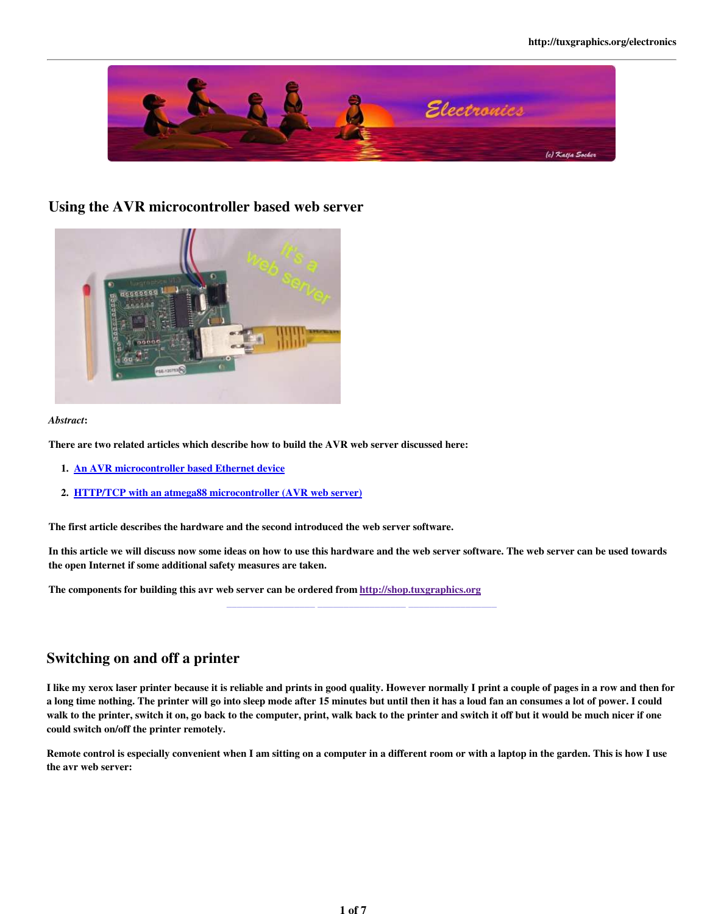

### Using the AVR microcontroller based web server



#### *Abstract*:

There are two related articles which describe how to build the AVR web server discussed here:

- 1. An AVR microcontroller based Ethernet device
- 2. HTTP/TCP with an atmega88 microcontroller (AVR web server)

The first article describes the hardware and the second introduced the web server software.

In this article we will discuss now some ideas on how to use this hardware and the web server software. The web server can be used towards the open Internet if some additional safety measures are taken.

\_\_\_\_\_\_\_\_\_\_\_\_\_\_\_\_\_ \_\_\_\_\_\_\_\_\_\_\_\_\_\_\_\_\_ \_\_\_\_\_\_\_\_\_\_\_\_\_\_\_\_\_

The components for building this avr web server can be ordered from http://shop.tuxgraphics.org

# Switching on and off a printer

I like my xerox laser printer because it is reliable and prints in good quality. However normally I print a couple of pages in a row and then for a long time nothing. The printer will go into sleep mode after 15 minutes but until then it has a loud fan an consumes a lot of power. I could walk to the printer, switch it on, go back to the computer, print, walk back to the printer and switch it off but it would be much nicer if one could switch on/off the printer remotely.

Remote control is especially convenient when I am sitting on a computer in a different room or with a laptop in the garden. This is how I use the avr web server: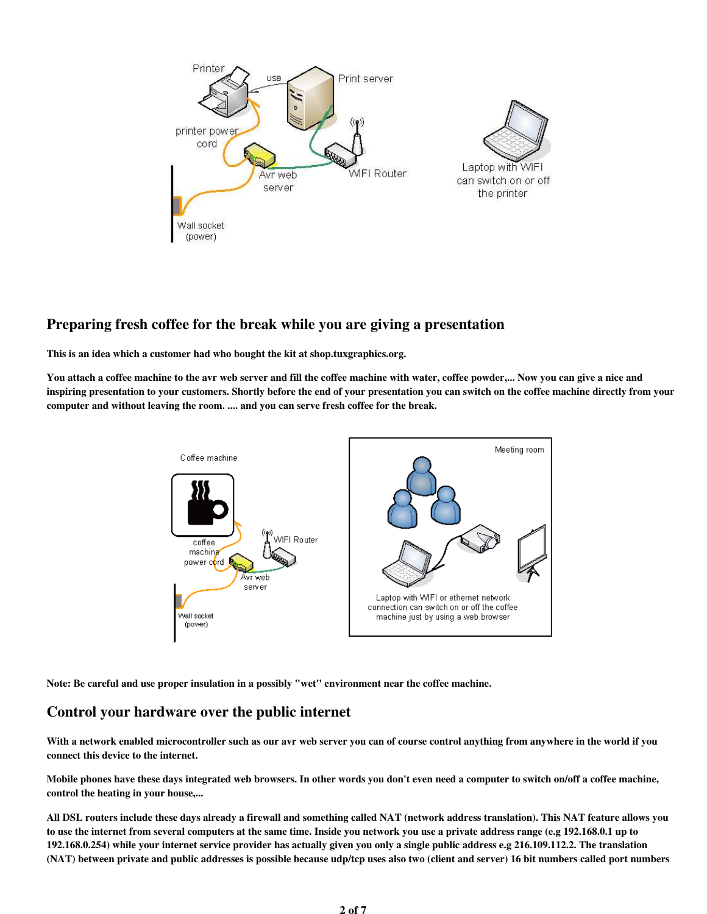

# Preparing fresh coffee for the break while you are giving a presentation

This is an idea which a customer had who bought the kit at shop.tuxgraphics.org.

You attach a coffee machine to the avr web server and fill the coffee machine with water, coffee powder,... Now you can give a nice and inspiring presentation to your customers. Shortly before the end of your presentation you can switch on the coffee machine directly from your computer and without leaving the room. .... and you can serve fresh coffee for the break.



Note: Be careful and use proper insulation in a possibly "wet" environment near the coffee machine.

# Control your hardware over the public internet

With a network enabled microcontroller such as our avr web server you can of course control anything from anywhere in the world if you connect this device to the internet.

Mobile phones have these days integrated web browsers. In other words you don't even need a computer to switch on/off a coffee machine, control the heating in your house,...

All DSL routers include these days already a firewall and something called NAT (network address translation). This NAT feature allows you to use the internet from several computers at the same time. Inside you network you use a private address range (e.g 192.168.0.1 up to 192.168.0.254) while your internet service provider has actually given you only a single public address e.g 216.109.112.2. The translation (NAT) between private and public addresses is possible because udp/tcp uses also two (client and server) 16 bit numbers called port numbers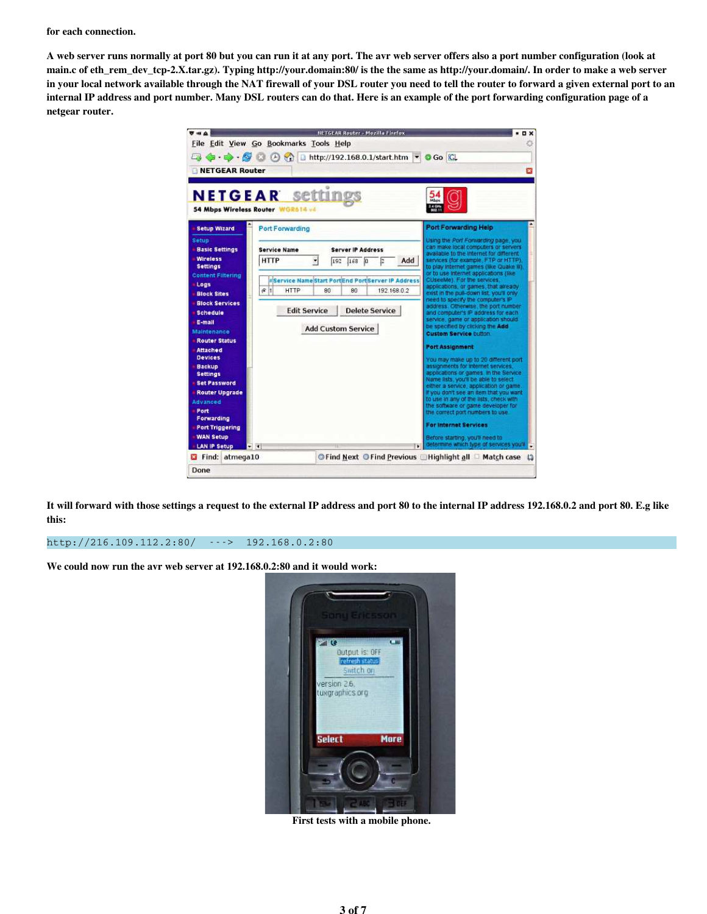for each connection.

A web server runs normally at port 80 but you can run it at any port. The avr web server offers also a port number configuration (look at main.c of eth\_rem\_dev\_tcp-2.X.tar.gz). Typing http://your.domain:80/ is the the same as http://your.domain/. In order to make a web server in your local network available through the NAT firewall of your DSL router you need to tell the router to forward a given external port to an internal IP address and port number. Many DSL routers can do that. Here is an example of the port forwarding configuration page of a netgear router.

| 可由立                                      | NETGEAR Bouter - Mozilla Firefox                         | <b>DX</b>                                                                                                                   |
|------------------------------------------|----------------------------------------------------------|-----------------------------------------------------------------------------------------------------------------------------|
|                                          | File Edit View Go Bookmarks Tools Help                   |                                                                                                                             |
|                                          | 4 . • 6 6 6 6 6 1 http://192.168.0.1/start.htm • 6 6 6   |                                                                                                                             |
| NETGEAR Router                           |                                                          | $\overline{\mathbf{x}}$                                                                                                     |
|                                          |                                                          |                                                                                                                             |
|                                          |                                                          |                                                                                                                             |
|                                          | <b>NETGEAR settings</b>                                  | <b>Mbps</b>                                                                                                                 |
|                                          | 54 Mbps Wireless Router WGR614 v4                        | $2.4$ GHz<br>802.11                                                                                                         |
| <b>Setup Wizard</b>                      | Port Forwarding                                          | Port Forwarding Help                                                                                                        |
| <b>Setup</b>                             |                                                          | Using the Port Forwarding page, you                                                                                         |
| <b>Basic Settings</b>                    | <b>Service Name</b><br><b>Server IP Address</b>          | can make local computers or servers                                                                                         |
| <b>Wireless</b><br><b>Settings</b>       | <b>HTTP</b><br>ſa<br>Add<br>192<br>168                   | available to the Internet for different<br>services (for example, FTP or HTTP),<br>to play internet games (like Quake iii). |
| <b>Content Filtering</b>                 | <b>IService Name Start PortEnd PortServer IP Address</b> | or to use internet applications (like<br>CUseeMe). For the services,                                                        |
| Logs                                     | 61<br>HTTP<br>80<br>80<br>192.168.0.2                    | applications, or games, that already.                                                                                       |
| <b>Block Sites</b>                       |                                                          | exist in the pull-down list, you'll only<br>need to specify the computer's IP                                               |
| <b>Block Services</b><br><b>Schedule</b> | <b>Edit Service</b><br><b>Delete Service</b>             | address. Otherwise, the port number<br>and computer's iP address for each                                                   |
| E-mail                                   |                                                          | service, game or application should                                                                                         |
| Maintenance                              | <b>Add Custom Service</b>                                | be specified by clicking the Add<br><b>Custom Service button</b>                                                            |
| <b>Router Status</b>                     |                                                          |                                                                                                                             |
| <b>Attached</b>                          |                                                          | <b>Port Assignment</b>                                                                                                      |
| <b>Devices</b><br><b>Backup</b>          |                                                          | You may make up to 20 different port<br>assignments for internet services.                                                  |
| <b>Settings</b>                          |                                                          | applications or games. In the Service                                                                                       |
| <b>Set Password</b>                      |                                                          | Name lists, you'll be able to select<br>either a service, application or game.                                              |
| <b>Router Upgrade</b>                    |                                                          | If you don't see an item that you want<br>to use in any of the lists, check with                                            |
| <b>Advanced</b>                          |                                                          | the software or game developer for                                                                                          |
| Port<br>Forwarding                       |                                                          | the correct part numbers to use.                                                                                            |
| <b>Port Triggering</b>                   |                                                          | For internet Services                                                                                                       |
| <b>WAN Setup</b>                         |                                                          | Before starting, you'll need to                                                                                             |
| <b>LAN IP Setup</b>                      | $-1$                                                     | determine which type of services you'll                                                                                     |
| Find: atmega10                           |                                                          | © Find Next © Find Previous ■ Highlight all ■ Match case (1)                                                                |
| Done                                     |                                                          |                                                                                                                             |

It will forward with those settings a request to the external IP address and port 80 to the internal IP address 192.168.0.2 and port 80. E.g like this:

#### http://216.109.112.2:80/ ---> 192.168.0.2:80

We could now run the avr web server at 192.168.0.2:80 and it would work:



First tests with a mobile phone.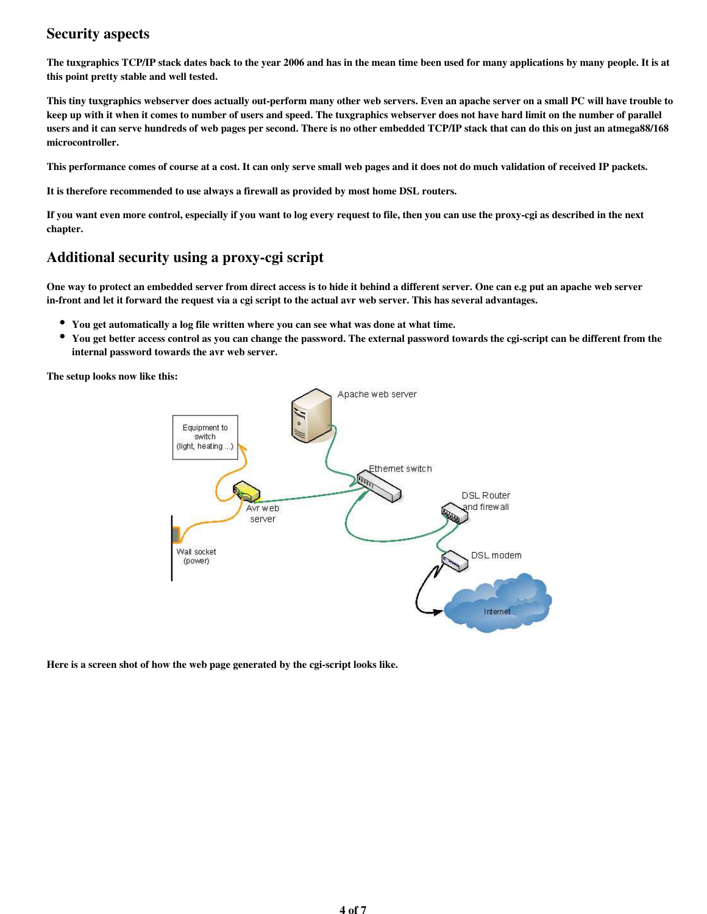# Security aspects

The tuxgraphics TCP/IP stack dates back to the year 2006 and has in the mean time been used for many applications by many people. It is at this point pretty stable and well tested.

This tiny tuxgraphics webserver does actually out-perform many other web servers. Even an apache server on a small PC will have trouble to keep up with it when it comes to number of users and speed. The tuxgraphics webserver does not have hard limit on the number of parallel users and it can serve hundreds of web pages per second. There is no other embedded TCP/IP stack that can do this on just an atmega88/168 microcontroller.

This performance comes of course at a cost. It can only serve small web pages and it does not do much validation of received IP packets.

It is therefore recommended to use always a firewall as provided by most home DSL routers.

If you want even more control, especially if you want to log every request to file, then you can use the proxy-cgi as described in the next chapter.

# Additional security using a proxy-cgi script

One way to protect an embedded server from direct access is to hide it behind a different server. One can e.g put an apache web server in-front and let it forward the request via a cgi script to the actual avr web server. This has several advantages.

- You get automatically a log file written where you can see what was done at what time.
- $\bullet$ You get better access control as you can change the password. The external password towards the cgi-script can be different from the internal password towards the avr web server.

The setup looks now like this:



Here is a screen shot of how the web page generated by the cgi-script looks like.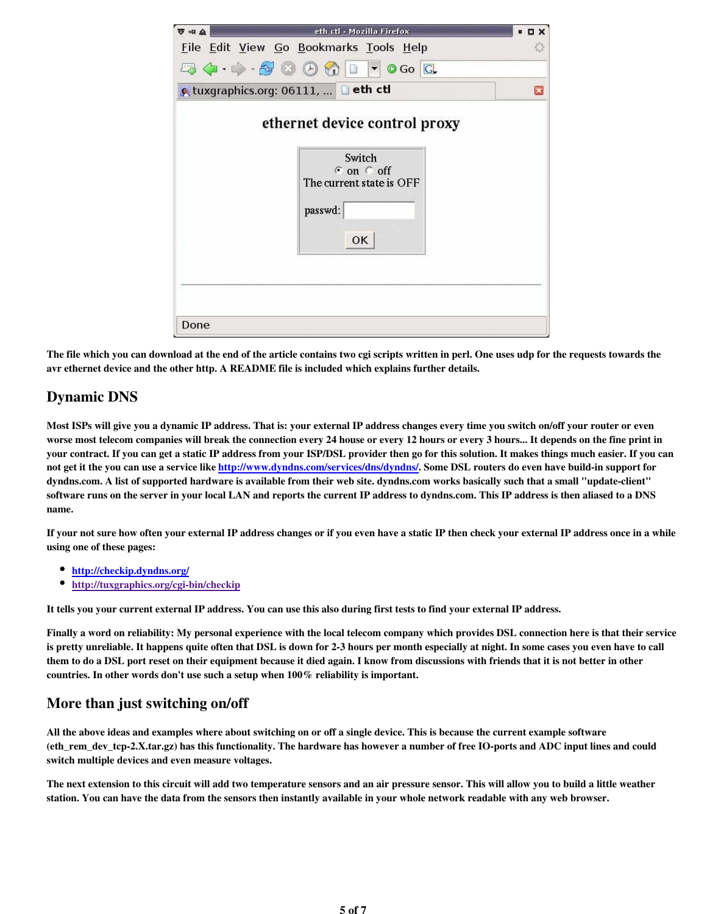| ₹ ⇒∎ ≙ | eth ctl - Mozilla Firefox                                                                                            | $B$ $D$ $X$ |
|--------|----------------------------------------------------------------------------------------------------------------------|-------------|
|        | File Edit View Go Bookmarks Tools Help                                                                               |             |
|        | 54.000000000                                                                                                         |             |
|        | € tuxgraphics.org: 06111,  Deth ctl                                                                                  | ×           |
|        | ethernet device control proxy<br>Switch<br>$\epsilon$ on $\epsilon$ off<br>The current state is OFF<br>passwd:<br>OK |             |
|        |                                                                                                                      |             |

The file which you can download at the end of the article contains two cgi scripts written in perl. One uses udp for the requests towards the avr ethernet device and the other http. A README file is included which explains further details.

# Dynamic DNS

Most ISPs will give you a dynamic IP address. That is: your external IP address changes every time you switch on/off your router or even worse most telecom companies will break the connection every 24 house or every 12 hours or every 3 hours... It depends on the fine print in your contract. If you can get a static IP address from your ISP/DSL provider then go for this solution. It makes things much easier. If you can not get it the you can use a service like http://www.dyndns.com/services/dns/dyndns/. Some DSL routers do even have build-in support for dyndns.com. A list of supported hardware is available from their web site. dyndns.com works basically such that a small "update-client" software runs on the server in your local LAN and reports the current IP address to dyndns.com. This IP address is then aliased to a DNS name.

If your not sure how often your external IP address changes or if you even have a static IP then check your external IP address once in a while using one of these pages:

- http://checkip.dyndns.org/
- http://tuxgraphics.org/cgi-bin/checkip

It tells you your current external IP address. You can use this also during first tests to find your external IP address.

Finally a word on reliability: My personal experience with the local telecom company which provides DSL connection here is that their service is pretty unreliable. It happens quite often that DSL is down for 2-3 hours per month especially at night. In some cases you even have to call them to do a DSL port reset on their equipment because it died again. I know from discussions with friends that it is not better in other countries. In other words don't use such a setup when 100% reliability is important.

# More than just switching on/off

All the above ideas and examples where about switching on or off a single device. This is because the current example software (eth\_rem\_dev\_tcp-2.X.tar.gz) has this functionality. The hardware has however a number of free IO-ports and ADC input lines and could switch multiple devices and even measure voltages.

The next extension to this circuit will add two temperature sensors and an air pressure sensor. This will allow you to build a little weather station. You can have the data from the sensors then instantly available in your whole network readable with any web browser.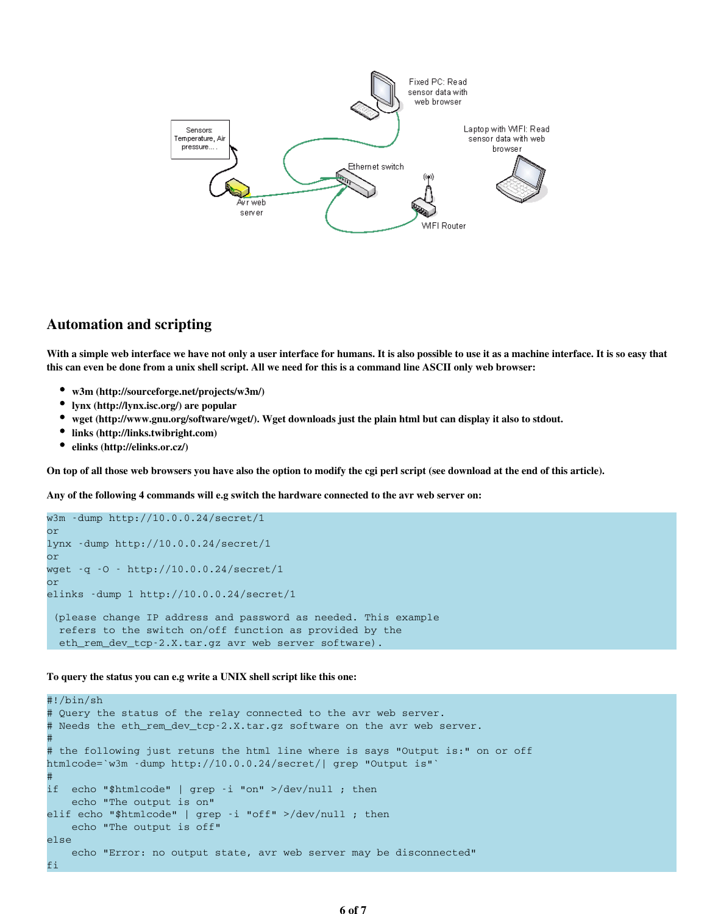

#### Automation and scripting

With a simple web interface we have not only a user interface for humans. It is also possible to use it as a machine interface. It is so easy that this can even be done from a unix shell script. All we need for this is a command line ASCII only web browser:

- w3m (http://sourceforge.net/projects/w3m/)
- lynx (http://lynx.isc.org/) are popular
- wget (http://www.gnu.org/software/wget/). Wget downloads just the plain html but can display it also to stdout.
- links (http://links.twibright.com)
- elinks (http://elinks.or.cz/)

On top of all those web browsers you have also the option to modify the cgi perl script (see download at the end of this article).

Any of the following 4 commands will e.g switch the hardware connected to the avr web server on:

```
w3m -dump http://10.0.0.24/secret/1
or
lynx -dump http://10.0.0.24/secret/1
or
wget -q -O - http://10.0.0.24/secret/1
or
elinks -dump 1 http://10.0.0.24/secret/1
  (please change IP address and password as needed. This example
  refers to the switch on/off function as provided by the
  eth_rem_dev_tcp-2.X.tar.gz avr web server software).
```
#### To query the status you can e.g write a UNIX shell script like this one:

```
#!/bin/sh
# Query the status of the relay connected to the avr web server.
# Needs the eth rem dev tcp-2.X.tar.gz software on the avr web server.
#
# the following just retuns the html line where is says "Output is:" on or off
htmlcode=`w3m -dump http://10.0.0.24/secret/| grep "Output is"`
#
if echo "$htmlcode" | grep -i "on" >/dev/null ; then
    echo "The output is on"
elif echo "$htmlcode" | grep -i "off" >/dev/null ; then
    echo "The output is off"
else
    echo "Error: no output state, avr web server may be disconnected"
fi
```